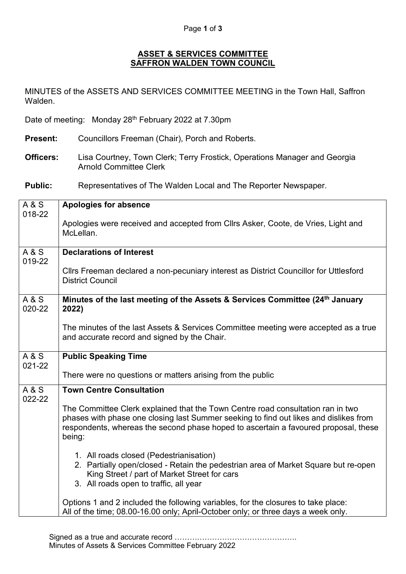## **ASSET & SERVICES COMMITTEE SAFFRON WALDEN TOWN COUNCIL**

MINUTES of the ASSETS AND SERVICES COMMITTEE MEETING in the Town Hall, Saffron Walden.

Date of meeting: Monday 28<sup>th</sup> February 2022 at 7.30pm

- **Present:** Councillors Freeman (Chair), Porch and Roberts.
- **Officers:** Lisa Courtney, Town Clerk; Terry Frostick, Operations Manager and Georgia Arnold Committee Clerk

**Public:** Representatives of The Walden Local and The Reporter Newspaper.

| A & S                    | <b>Apologies for absence</b>                                                                                                                                                                                                                                              |
|--------------------------|---------------------------------------------------------------------------------------------------------------------------------------------------------------------------------------------------------------------------------------------------------------------------|
| 018-22                   | Apologies were received and accepted from Cllrs Asker, Coote, de Vries, Light and                                                                                                                                                                                         |
|                          | McLellan.                                                                                                                                                                                                                                                                 |
| <b>A&amp;S</b><br>019-22 | <b>Declarations of Interest</b>                                                                                                                                                                                                                                           |
|                          | Cllrs Freeman declared a non-pecuniary interest as District Councillor for Uttlesford<br><b>District Council</b>                                                                                                                                                          |
| A & S<br>020-22          | Minutes of the last meeting of the Assets & Services Committee (24th January<br>2022)                                                                                                                                                                                     |
|                          | The minutes of the last Assets & Services Committee meeting were accepted as a true<br>and accurate record and signed by the Chair.                                                                                                                                       |
| <b>A&amp;S</b><br>021-22 | <b>Public Speaking Time</b>                                                                                                                                                                                                                                               |
|                          | There were no questions or matters arising from the public                                                                                                                                                                                                                |
| <b>A&amp;S</b><br>022-22 | <b>Town Centre Consultation</b>                                                                                                                                                                                                                                           |
|                          | The Committee Clerk explained that the Town Centre road consultation ran in two<br>phases with phase one closing last Summer seeking to find out likes and dislikes from<br>respondents, whereas the second phase hoped to ascertain a favoured proposal, these<br>being: |
|                          | 1. All roads closed (Pedestrianisation)<br>2. Partially open/closed - Retain the pedestrian area of Market Square but re-open<br>King Street / part of Market Street for cars<br>3. All roads open to traffic, all year                                                   |
|                          | Options 1 and 2 included the following variables, for the closures to take place:<br>All of the time; 08.00-16.00 only; April-October only; or three days a week only.                                                                                                    |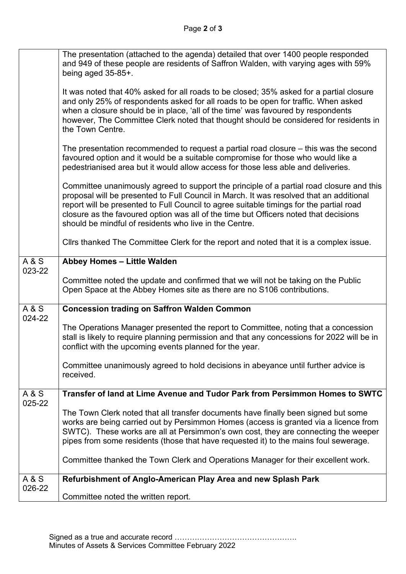|                          | The presentation (attached to the agenda) detailed that over 1400 people responded<br>and 949 of these people are residents of Saffron Walden, with varying ages with 59%<br>being aged 35-85+.<br>It was noted that 40% asked for all roads to be closed; 35% asked for a partial closure<br>and only 25% of respondents asked for all roads to be open for traffic. When asked<br>when a closure should be in place, 'all of the time' was favoured by respondents<br>however, The Committee Clerk noted that thought should be considered for residents in |
|--------------------------|---------------------------------------------------------------------------------------------------------------------------------------------------------------------------------------------------------------------------------------------------------------------------------------------------------------------------------------------------------------------------------------------------------------------------------------------------------------------------------------------------------------------------------------------------------------|
|                          | the Town Centre.                                                                                                                                                                                                                                                                                                                                                                                                                                                                                                                                              |
|                          | The presentation recommended to request a partial road closure $-$ this was the second<br>favoured option and it would be a suitable compromise for those who would like a<br>pedestrianised area but it would allow access for those less able and deliveries.                                                                                                                                                                                                                                                                                               |
|                          | Committee unanimously agreed to support the principle of a partial road closure and this<br>proposal will be presented to Full Council in March. It was resolved that an additional<br>report will be presented to Full Council to agree suitable timings for the partial road<br>closure as the favoured option was all of the time but Officers noted that decisions<br>should be mindful of residents who live in the Centre.                                                                                                                              |
|                          | Clirs thanked The Committee Clerk for the report and noted that it is a complex issue.                                                                                                                                                                                                                                                                                                                                                                                                                                                                        |
| A & S<br>023-22          | Abbey Homes - Little Walden                                                                                                                                                                                                                                                                                                                                                                                                                                                                                                                                   |
|                          | Committee noted the update and confirmed that we will not be taking on the Public<br>Open Space at the Abbey Homes site as there are no S106 contributions.                                                                                                                                                                                                                                                                                                                                                                                                   |
| A & S<br>024-22          | <b>Concession trading on Saffron Walden Common</b>                                                                                                                                                                                                                                                                                                                                                                                                                                                                                                            |
|                          | The Operations Manager presented the report to Committee, noting that a concession<br>stall is likely to require planning permission and that any concessions for 2022 will be in<br>conflict with the upcoming events planned for the year.                                                                                                                                                                                                                                                                                                                  |
|                          | Committee unanimously agreed to hold decisions in abeyance until further advice is<br>received.                                                                                                                                                                                                                                                                                                                                                                                                                                                               |
| <b>A&amp;S</b><br>025-22 | Transfer of land at Lime Avenue and Tudor Park from Persimmon Homes to SWTC                                                                                                                                                                                                                                                                                                                                                                                                                                                                                   |
|                          | The Town Clerk noted that all transfer documents have finally been signed but some<br>works are being carried out by Persimmon Homes (access is granted via a licence from<br>SWTC). These works are all at Persimmon's own cost, they are connecting the weeper<br>pipes from some residents (those that have requested it) to the mains foul sewerage.                                                                                                                                                                                                      |
|                          | Committee thanked the Town Clerk and Operations Manager for their excellent work.                                                                                                                                                                                                                                                                                                                                                                                                                                                                             |
| A & S<br>026-22          | Refurbishment of Anglo-American Play Area and new Splash Park                                                                                                                                                                                                                                                                                                                                                                                                                                                                                                 |
|                          | Committee noted the written report.                                                                                                                                                                                                                                                                                                                                                                                                                                                                                                                           |